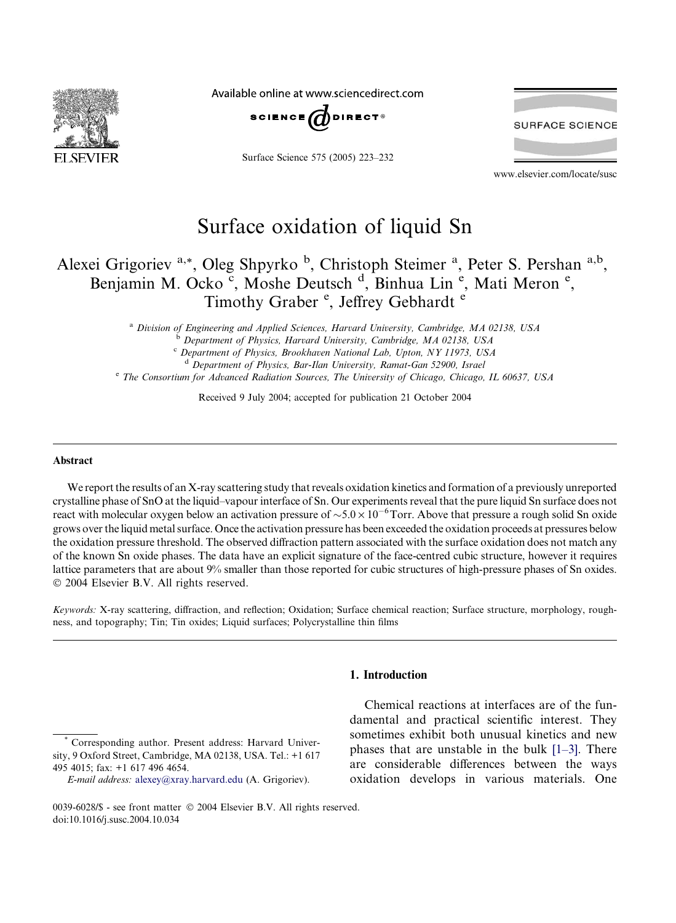

Available online at www.sciencedirect.com



Surface Science 575 (2005) 223–232

**SURFACE SCIENCE** 

www.elsevier.com/locate/susc

# Surface oxidation of liquid Sn

## Alexei Grigoriev<sup>a,\*</sup>, Oleg Shpyrko<sup>b</sup>, Christoph Steimer<sup>a</sup>, Peter S. Pershan<sup>a,b</sup>, Benjamin M. Ocko c, Moshe Deutsch <sup>d</sup>, Binhua Lin<sup>e</sup>, Mati Meron<sup>e</sup>, Timothy Graber<sup>e</sup>, Jeffrey Gebhardt<sup>e</sup>

<sup>a</sup> Division of Engineering and Applied Sciences, Harvard University, Cambridge, MA 02138, USA <sup>b</sup> Department of Physics, Harvard University, Cambridge, MA 02138, USA <sup>c</sup> Department of Physics, Brookhaven National Lab, Upton, NY 11973, USA <sup>d</sup> Department of Physics, Bar-Ilan University, Ramat-Gan 52900, Israel

<sup>e</sup> The Consortium for Advanced Radiation Sources, The University of Chicago, Chicago, IL 60637, USA

Received 9 July 2004; accepted for publication 21 October 2004

#### Abstract

We report the results of an X-ray scattering study that reveals oxidation kinetics and formation of a previously unreported crystalline phase of SnO at the liquid–vapour interface of Sn.Our experiments reveal that the pure liquid Sn surface does not react with molecular oxygen below an activation pressure of  $\sim 5.0 \times 10^{-6}$  Torr. Above that pressure a rough solid Sn oxide grows over the liquid metal surface.Once the activation pressure has been exceeded the oxidation proceeds at pressures below the oxidation pressure threshold.The observed diffraction pattern associated with the surface oxidation does not match any of the known Sn oxide phases.The data have an explicit signature of the face-centred cubic structure, however it requires lattice parameters that are about 9% smaller than those reported for cubic structures of high-pressure phases of Sn oxides.  $© 2004 Elsevier B.V. All rights reserved.$ 

Keywords: X-ray scattering, diffraction, and reflection; Oxidation; Surface chemical reaction; Surface structure, morphology, roughness, and topography; Tin; Tin oxides; Liquid surfaces; Polycrystalline thin films

1. Introduction

Corresponding author. Present address: Harvard University, 9 Oxford Street, Cambridge, MA 02138, USA.Tel.: +1 617 495 4015; fax: +1 617 496 4654.

Chemical reactions at interfaces are of the fundamental and practical scientific interest. They sometimes exhibit both unusual kinetics and new phases that are unstable in the bulk  $[1-3]$ . There are considerable differences between the ways oxidation develops in various materials. One

E-mail address: [alexey@xray.harvard.edu](mailto:alexey@xray.harvard.edu ) (A.Grigoriev).

<sup>0039-6028/\$ -</sup> see front matter © 2004 Elsevier B.V. All rights reserved. doi:10.1016/j.susc.2004.10.034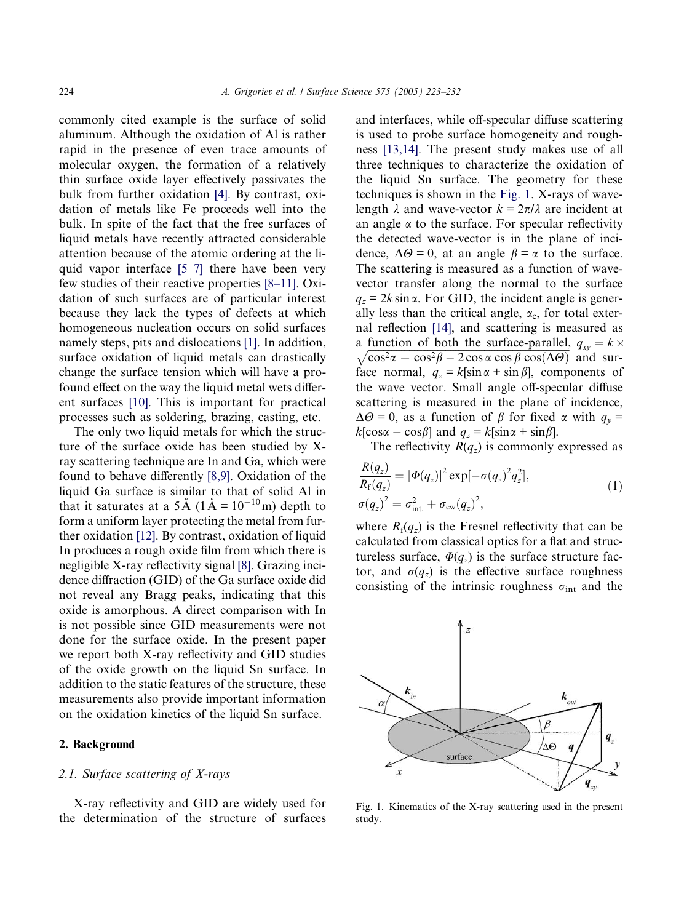commonly cited example is the surface of solid aluminum.Although the oxidation of Al is rather rapid in the presence of even trace amounts of molecular oxygen, the formation of a relatively thin surface oxide layer effectively passivates the bulk from further oxidation [\[4\]](#page-8-0).By contrast, oxidation of metals like Fe proceeds well into the bulk.In spite of the fact that the free surfaces of liquid metals have recently attracted considerable attention because of the atomic ordering at the liquid–vapor interface [\[5–7\]](#page-8-0) there have been very few studies of their reactive properties [\[8–11\]](#page-8-0).Oxidation of such surfaces are of particular interest because they lack the types of defects at which homogeneous nucleation occurs on solid surfaces namely steps, pits and dislocations [\[1\].](#page-8-0) In addition, surface oxidation of liquid metals can drastically change the surface tension which will have a profound effect on the way the liquid metal wets different surfaces [\[10\]](#page-8-0).This is important for practical processes such as soldering, brazing, casting, etc.

The only two liquid metals for which the structure of the surface oxide has been studied by Xray scattering technique are In and Ga, which were found to behave differently [\[8,9\]](#page-8-0).Oxidation of the liquid Ga surface is similar to that of solid Al in that it saturates at a  $5 \text{\AA}$  ( $1 \text{\AA} = 10^{-10} \text{m}$ ) depth to form a uniform layer protecting the metal from further oxidation [\[12\]](#page-8-0).By contrast, oxidation of liquid In produces a rough oxide film from which there is negligible X-ray reflectivity signal [\[8\].](#page-8-0)Grazing incidence diffraction (GID) of the Ga surface oxide did not reveal any Bragg peaks, indicating that this oxide is amorphous. A direct comparison with In is not possible since GID measurements were not done for the surface oxide.In the present paper we report both X-ray reflectivity and GID studies of the oxide growth on the liquid Sn surface.In addition to the static features of the structure, these measurements also provide important information on the oxidation kinetics of the liquid Sn surface.

### 2. Background

## 2.1. Surface scattering of X-rays

X-ray reflectivity and GID are widely used for the determination of the structure of surfaces and interfaces, while off-specular diffuse scattering is used to probe surface homogeneity and roughness [\[13,14\].](#page-8-0)The present study makes use of all three techniques to characterize the oxidation of the liquid Sn surface.The geometry for these techniques is shown in the Fig.1.X-rays of wavelength  $\lambda$  and wave-vector  $k = 2\pi/\lambda$  are incident at an angle  $\alpha$  to the surface. For specular reflectivity the detected wave-vector is in the plane of incidence,  $\Delta\Theta = 0$ , at an angle  $\beta = \alpha$  to the surface. The scattering is measured as a function of wavevector transfer along the normal to the surface  $q_z = 2k \sin \alpha$ . For GID, the incident angle is generally less than the critical angle,  $\alpha_c$ , for total external reflection [\[14\],](#page-8-0) and scattering is measured as a function of both the surface-parallel,  $q_{xy} = k \times$  $\sqrt{\cos^2\alpha + \cos^2\beta - 2\cos\alpha\cos\beta\cos(\Delta\Theta)}$  and surface normal,  $q_z = k[\sin \alpha + \sin \beta]$ , components of the wave vector.Small angle off-specular diffuse scattering is measured in the plane of incidence,  $\Delta\Theta = 0$ , as a function of  $\beta$  for fixed  $\alpha$  with  $q_v =$  $k[\cos \alpha - \cos \beta]$  and  $q_z = k[\sin \alpha + \sin \beta]$ .

The reflectivity  $R(q_z)$  is commonly expressed as

$$
\frac{R(q_z)}{R_{\rm f}(q_z)} = |\Phi(q_z)|^2 \exp[-\sigma(q_z)^2 q_z^2],
$$
\n
$$
\sigma(q_z)^2 = \sigma_{\rm int.}^2 + \sigma_{\rm cw}(q_z)^2,
$$
\n(1)

where  $R_f(q_z)$  is the Fresnel reflectivity that can be calculated from classical optics for a flat and structureless surface,  $\Phi(q_z)$  is the surface structure factor, and  $\sigma(q_z)$  is the effective surface roughness consisting of the intrinsic roughness  $\sigma_{int}$  and the



Fig.1.Kinematics of the X-ray scattering used in the present study.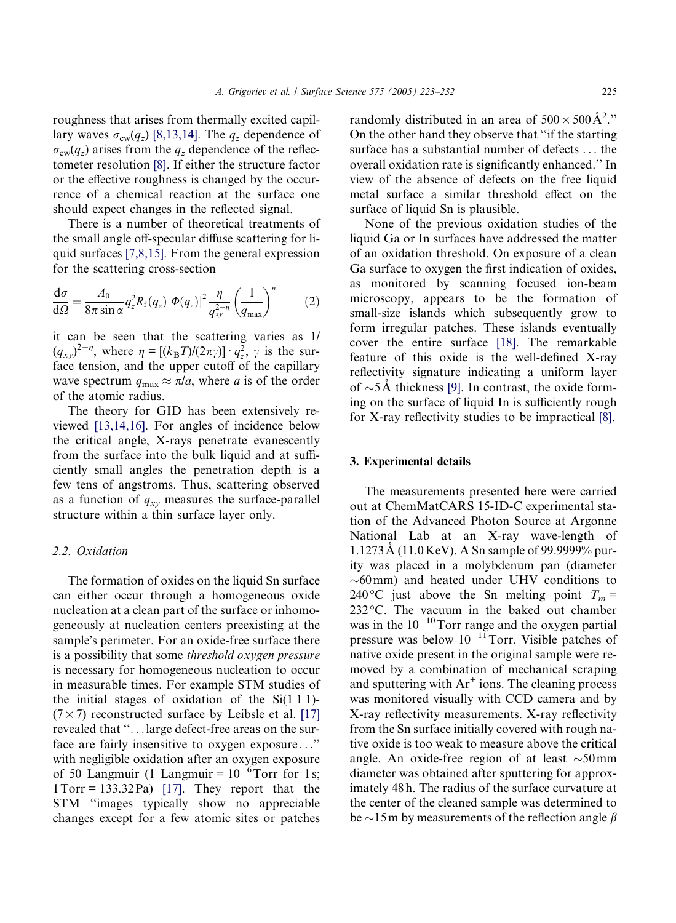<span id="page-2-0"></span>roughness that arises from thermally excited capillary waves  $\sigma_{\text{cw}}(q_z)$  [\[8,13,14\]](#page-8-0). The  $q_z$  dependence of  $\sigma_{\rm cw}(q_z)$  arises from the  $q_z$  dependence of the reflectometer resolution [\[8\]](#page-8-0).If either the structure factor or the effective roughness is changed by the occurrence of a chemical reaction at the surface one should expect changes in the reflected signal.

There is a number of theoretical treatments of the small angle off-specular diffuse scattering for li-quid surfaces [\[7,8,15\].](#page-8-0) From the general expression for the scattering cross-section

$$
\frac{\mathrm{d}\sigma}{\mathrm{d}\Omega} = \frac{A_0}{8\pi \sin \alpha} q_z^2 R_f(q_z) |\Phi(q_z)|^2 \frac{\eta}{q_{xy}^{2-\eta}} \left(\frac{1}{q_{\text{max}}}\right)^n \tag{2}
$$

it can be seen that the scattering varies as 1/  $(q_{xy})^{2-\eta}$ , where  $\eta = [(k_{\rm B}T)/(2\pi\gamma)] \cdot q_z^2$ ,  $\gamma$  is the surface tension, and the upper cutoff of the capillary wave spectrum  $q_{\text{max}} \approx \pi/a$ , where a is of the order of the atomic radius.

The theory for GID has been extensively reviewed [\[13,14,16\].](#page-8-0)For angles of incidence below the critical angle, X-rays penetrate evanescently from the surface into the bulk liquid and at sufficiently small angles the penetration depth is a few tens of angstroms.Thus, scattering observed as a function of  $q_{xy}$  measures the surface-parallel structure within a thin surface layer only.

## 2.2. Oxidation

The formation of oxides on the liquid Sn surface can either occur through a homogeneous oxide nucleation at a clean part of the surface or inhomogeneously at nucleation centers preexisting at the sample's perimeter. For an oxide-free surface there is a possibility that some threshold oxygen pressure is necessary for homogeneous nucleation to occur in measurable times. For example STM studies of the initial stages of oxidation of the Si(1 1 1)-  $(7 \times 7)$  reconstructed surface by Leibsle et al. [\[17\]](#page-9-0) revealed that ''...large defect-free areas on the surface are fairly insensitive to oxygen exposure ...'' with negligible oxidation after an oxygen exposure of 50 Langmuir (1 Langmuir =  $10^{-6}$ Torr for 1s;  $1\text{Tor} = 133.32 \text{ Pa}$  [\[17\]](#page-9-0). They report that the STM ''images typically show no appreciable changes except for a few atomic sites or patches

randomly distributed in an area of  $500 \times 500 \text{\AA}^2$ ." On the other hand they observe that ''if the starting surface has a substantial number of defects ... the overall oxidation rate is significantly enhanced.'' In view of the absence of defects on the free liquid metal surface a similar threshold effect on the surface of liquid Sn is plausible.

None of the previous oxidation studies of the liquid Ga or In surfaces have addressed the matter of an oxidation threshold.On exposure of a clean Ga surface to oxygen the first indication of oxides, as monitored by scanning focused ion-beam microscopy, appears to be the formation of small-size islands which subsequently grow to form irregular patches. These islands eventually cover the entire surface [\[18\]](#page-9-0). The remarkable feature of this oxide is the well-defined X-ray reflectivity signature indicating a uniform layer of  $\sim$ 5A thickness [\[9\].](#page-8-0) In contrast, the oxide forming on the surface of liquid In is sufficiently rough for X-ray reflectivity studies to be impractical [\[8\].](#page-8-0)

## 3. Experimental details

The measurements presented here were carried out at ChemMatCARS 15-ID-C experimental station of the Advanced Photon Source at Argonne National Lab at an X-ray wave-length of  $1.1273\text{\AA}$  (11.0 KeV). A Sn sample of 99.9999% purity was placed in a molybdenum pan (diameter  $\sim 60$  mm) and heated under UHV conditions to 240 °C just above the Sn melting point  $T_m =$ 232 °C. The vacuum in the baked out chamber was in the  $10^{-10}$ Torr range and the oxygen partial pressure was below  $10^{-11}$ Torr. Visible patches of native oxide present in the original sample were removed by a combination of mechanical scraping and sputtering with  $Ar^+$  ions. The cleaning process was monitored visually with CCD camera and by X-ray reflectivity measurements.X-ray reflectivity from the Sn surface initially covered with rough native oxide is too weak to measure above the critical angle. An oxide-free region of at least  $\sim 50$  mm diameter was obtained after sputtering for approximately 48 h.The radius of the surface curvature at the center of the cleaned sample was determined to be  $\sim$ 15m by measurements of the reflection angle  $\beta$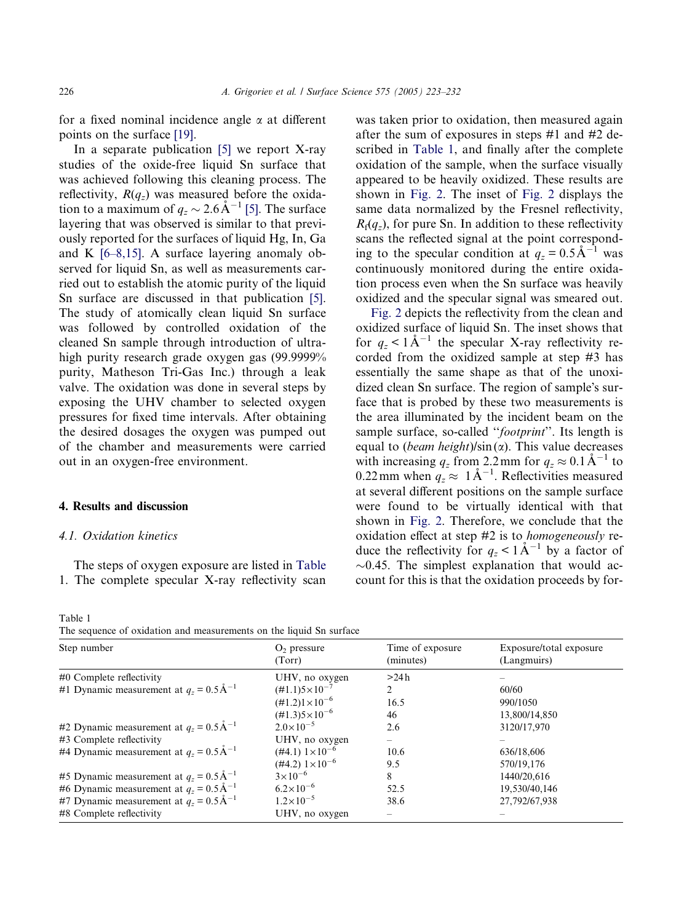<span id="page-3-0"></span>for a fixed nominal incidence angle  $\alpha$  at different points on the surface [\[19\].](#page-9-0)

In a separate publication [\[5\]](#page-8-0) we report X-ray studies of the oxide-free liquid Sn surface that was achieved following this cleaning process. The reflectivity,  $R(q_z)$  was measured before the oxidation to a maximum of  $q_z \sim 2.6 \text{ Å}^{-1}$  [\[5\].](#page-8-0) The surface layering that was observed is similar to that previously reported for the surfaces of liquid Hg, In, Ga and K  $[6-8,15]$ . A surface layering anomaly observed for liquid Sn, as well as measurements carried out to establish the atomic purity of the liquid Sn surface are discussed in that publication [\[5\].](#page-8-0) The study of atomically clean liquid Sn surface was followed by controlled oxidation of the cleaned Sn sample through introduction of ultrahigh purity research grade oxygen gas (99.9999% purity, Matheson Tri-Gas Inc.) through a leak valve.The oxidation was done in several steps by exposing the UHV chamber to selected oxygen pressures for fixed time intervals.After obtaining the desired dosages the oxygen was pumped out of the chamber and measurements were carried out in an oxygen-free environment.

## 4. Results and discussion

## 4.1. Oxidation kinetics

The steps of oxygen exposure are listed in Table 1.The complete specular X-ray reflectivity scan

Table 1 The sequence of oxidation and measurements on the liquid Sn surface

was taken prior to oxidation, then measured again after the sum of exposures in steps #1 and #2 described in Table 1, and finally after the complete oxidation of the sample, when the surface visually appeared to be heavily oxidized.These results are shown in [Fig.2](#page-4-0).The inset of [Fig.2](#page-4-0) displays the same data normalized by the Fresnel reflectivity,  $R_f(q_z)$ , for pure Sn. In addition to these reflectivity scans the reflected signal at the point corresponding to the specular condition at  $q_z = 0.5 \text{ Å}^{-1}$  was continuously monitored during the entire oxidation process even when the Sn surface was heavily oxidized and the specular signal was smeared out.

[Fig.2](#page-4-0) depicts the reflectivity from the clean and oxidized surface of liquid Sn.The inset shows that for  $q_z < 1 \text{ Å}^{-1}$  the specular X-ray reflectivity recorded from the oxidized sample at step #3 has essentially the same shape as that of the unoxidized clean Sn surface. The region of sample's surface that is probed by these two measurements is the area illuminated by the incident beam on the sample surface, so-called "footprint". Its length is equal to (*beam height*)/sin( $\alpha$ ). This value decreases with increasing  $q_z$  from 2.2 mm for  $q_z \approx 0.1 \text{ Å}^{-1}$  to 0.22 mm when  $q_z \approx 1 \text{ Å}^{-1}$ . Reflectivities measured at several different positions on the sample surface were found to be virtually identical with that shown in [Fig.2.](#page-4-0)Therefore, we conclude that the oxidation effect at step #2 is to homogeneously reduce the reflectivity for  $q_z < 1 \text{ Å}^{-1}$  by a factor of  $\sim$ 0.45. The simplest explanation that would account for this is that the oxidation proceeds by for-

| The sequence of exidation and measurements on the heard on surface |                                |                               |                                        |
|--------------------------------------------------------------------|--------------------------------|-------------------------------|----------------------------------------|
| Step number                                                        | $O2$ pressure<br>(Torr)        | Time of exposure<br>(minutes) | Exposure/total exposure<br>(Langmuirs) |
| #0 Complete reflectivity                                           | UHV, no oxygen                 | >24h                          |                                        |
| #1 Dynamic measurement at $q_z = 0.5 \text{ Å}^{-1}$               | $(\text{\#}1.1)5\times10^{-7}$ | $\mathfrak{D}$                | 60/60                                  |
|                                                                    | $(\text{\#}1.2)1\times10^{-6}$ | 16.5                          | 990/1050                               |
|                                                                    | $(\text{\#}1.3)5\times10^{-6}$ | 46                            | 13,800/14,850                          |
| #2 Dynamic measurement at $q_z = 0.5 \text{ Å}^{-1}$               | $2.0 \times 10^{-5}$           | 2.6                           | 3120/17.970                            |
| #3 Complete reflectivity                                           | UHV, no oxygen                 |                               |                                        |
| #4 Dynamic measurement at $q_z = 0.5 \text{ Å}^{-1}$               | $(\#4.1)$ $1 \times 10^{-6}$   | 10.6                          | 636/18,606                             |
|                                                                    | $(\#4.2)$ $1 \times 10^{-6}$   | 9.5                           | 570/19,176                             |
| #5 Dynamic measurement at $q_z = 0.5 \text{ Å}^{-1}$               | $3 \times 10^{-6}$             | 8                             | 1440/20,616                            |
| #6 Dynamic measurement at $q_z = 0.5 \text{ Å}^{-1}$               | $6.2 \times 10^{-6}$           | 52.5                          | 19,530/40,146                          |
| #7 Dynamic measurement at $q_z = 0.5 \text{ Å}^{-1}$               | $1.2\times10^{-5}$             | 38.6                          | 27,792/67,938                          |
| #8 Complete reflectivity                                           | UHV, no oxygen                 |                               |                                        |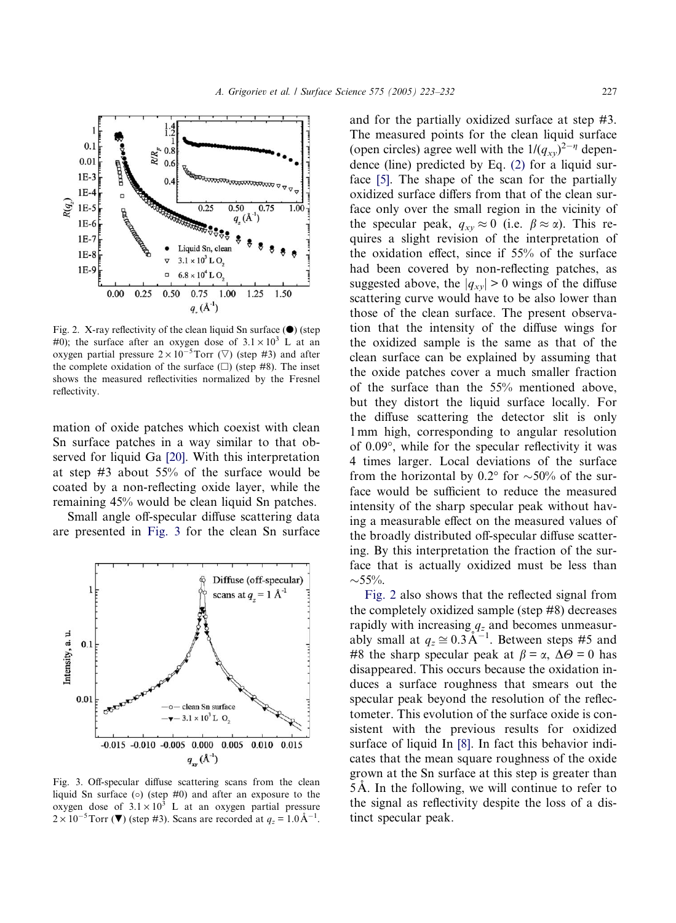<span id="page-4-0"></span>

Fig. 2. X-ray reflectivity of the clean liquid Sn surface  $(①)$  (step #0); the surface after an oxygen dose of  $3.1 \times 10^3$  L at an oxygen partial pressure  $2 \times 10^{-5}$ Torr ( $\triangledown$ ) (step #3) and after the complete oxidation of the surface  $(\square)$  (step #8). The inset shows the measured reflectivities normalized by the Fresnel reflectivity.

mation of oxide patches which coexist with clean Sn surface patches in a way similar to that observed for liquid Ga [\[20\]](#page-9-0).With this interpretation at step #3 about 55% of the surface would be coated by a non-reflecting oxide layer, while the remaining 45% would be clean liquid Sn patches.

Small angle off-specular diffuse scattering data are presented in Fig.3 for the clean Sn surface



Fig.3.Off-specular diffuse scattering scans from the clean liquid Sn surface ( ) (step #0) and after an exposure to the oxygen dose of  $3.1 \times 10^3$  L at an oxygen partial pressure  $2 \times 10^{-5}$ Torr ( $\blacktriangledown$ ) (step #3). Scans are recorded at  $q_z = 1.0 \text{ Å}^{-1}$ .

and for the partially oxidized surface at step #3. The measured points for the clean liquid surface (open circles) agree well with the  $1/(q_{xy})^{2-\eta}$  dependence (line) predicted by Eq. [\(2\)](#page-2-0) for a liquid sur-face [\[5\].](#page-8-0) The shape of the scan for the partially oxidized surface differs from that of the clean surface only over the small region in the vicinity of the specular peak,  $q_{xy} \approx 0$  (i.e.  $\beta \approx \alpha$ ). This requires a slight revision of the interpretation of the oxidation effect, since if 55% of the surface had been covered by non-reflecting patches, as suggested above, the  $|q_{xy}| > 0$  wings of the diffuse scattering curve would have to be also lower than those of the clean surface. The present observation that the intensity of the diffuse wings for the oxidized sample is the same as that of the clean surface can be explained by assuming that the oxide patches cover a much smaller fraction of the surface than the 55% mentioned above, but they distort the liquid surface locally. For the diffuse scattering the detector slit is only 1mm high, corresponding to angular resolution of 0.09, while for the specular reflectivity it was 4 times larger.Local deviations of the surface from the horizontal by 0.2° for  $\sim$ 50% of the surface would be sufficient to reduce the measured intensity of the sharp specular peak without having a measurable effect on the measured values of the broadly distributed off-specular diffuse scattering.By this interpretation the fraction of the surface that is actually oxidized must be less than  $\sim$ 55%.

Fig.2 also shows that the reflected signal from the completely oxidized sample (step #8) decreases rapidly with increasing  $q_z$  and becomes unmeasurably small at  $q_z \approx 0.3\text{\AA}^{-1}$ . Between steps #5 and #8 the sharp specular peak at  $\beta = \alpha$ ,  $\Delta\Theta = 0$  has disappeared.This occurs because the oxidation induces a surface roughness that smears out the specular peak beyond the resolution of the reflectometer.This evolution of the surface oxide is consistent with the previous results for oxidized surface of liquid In [\[8\].](#page-8-0) In fact this behavior indicates that the mean square roughness of the oxide grown at the Sn surface at this step is greater than  $5\text{\AA}$ . In the following, we will continue to refer to the signal as reflectivity despite the loss of a distinct specular peak.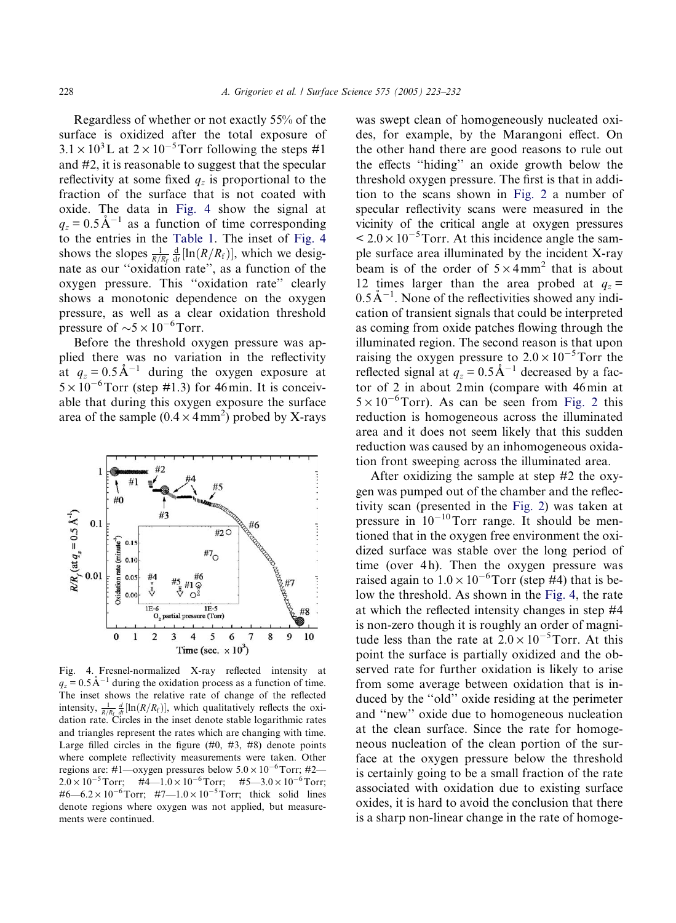<span id="page-5-0"></span>Regardless of whether or not exactly 55% of the surface is oxidized after the total exposure of  $3.1 \times 10^3$  L at  $2 \times 10^{-5}$  Torr following the steps #1 and #2, it is reasonable to suggest that the specular reflectivity at some fixed  $q_z$  is proportional to the fraction of the surface that is not coated with oxide. The data in Fig. 4 show the signal at  $q_z = 0.5 \text{ Å}^{-1}$  as a function of time corresponding to the entries in the [Table 1](#page-3-0). The inset of Fig. 4 shows the slopes  $\frac{1}{R/R_f} \frac{d}{dt} [\ln(R/R_f)]$ , which we designate as our ''oxidation rate'', as a function of the oxygen pressure. This "oxidation rate" clearly shows a monotonic dependence on the oxygen pressure, as well as a clear oxidation threshold pressure of  $\sim 5 \times 10^{-6}$  Torr.

Before the threshold oxygen pressure was applied there was no variation in the reflectivity at  $q_z = 0.5 \text{ Å}^{-1}$  during the oxygen exposure at  $5 \times 10^{-6}$ Torr (step #1.3) for 46 min. It is conceivable that during this oxygen exposure the surface area of the sample  $(0.4 \times 4 \text{ mm}^2)$  probed by X-rays



Fig.4.Fresnel-normalized X-ray reflected intensity at  $q_z = 0.5 \text{ Å}^{-1}$  during the oxidation process as a function of time. The inset shows the relative rate of change of the reflected intensity,  $\frac{1}{R/R_f} \frac{d}{dt} [\ln(R/R_f)]$ , which qualitatively reflects the oxidation rate. Circles in the inset denote stable logarithmic rates and triangles represent the rates which are changing with time. Large filled circles in the figure  $(#0, #3, #8)$  denote points where complete reflectivity measurements were taken. Other regions are: #1—oxygen pressures below  $5.0 \times 10^{-6}$ Torr; #2—  $2.0 \times 10^{-5}$  Torr;  $\#4$   $-1.0 \times 10^{-6}$  Torr;  $\#5$   $-3.0 \times 10^{-6}$  Torr; #6—6.2 × 10<sup>-6</sup> Torr; #7—1.0 × 10<sup>-5</sup> Torr; thick solid lines denote regions where oxygen was not applied, but measurements were continued.

was swept clean of homogeneously nucleated oxides, for example, by the Marangoni effect. On the other hand there are good reasons to rule out the effects ''hiding'' an oxide growth below the threshold oxygen pressure.The first is that in addition to the scans shown in [Fig.2](#page-4-0) a number of specular reflectivity scans were measured in the vicinity of the critical angle at oxygen pressures  $< 2.0 \times 10^{-5}$ Torr. At this incidence angle the sample surface area illuminated by the incident X-ray beam is of the order of  $5 \times 4$  mm<sup>2</sup> that is about 12 times larger than the area probed at  $q_z$  =  $0.5\text{\AA}^{-1}$ . None of the reflectivities showed any indication of transient signals that could be interpreted as coming from oxide patches flowing through the illuminated region.The second reason is that upon raising the oxygen pressure to  $2.0 \times 10^{-5}$ Torr the reflected signal at  $q_z = 0.5 \text{ Å}^{-1}$  decreased by a factor of 2 in about 2min (compare with 46min at  $5 \times 10^{-6}$ Torr). As can be seen from Fig. 2 this reduction is homogeneous across the illuminated area and it does not seem likely that this sudden reduction was caused by an inhomogeneous oxidation front sweeping across the illuminated area.

After oxidizing the sample at step #2 the oxygen was pumped out of the chamber and the reflectivity scan (presented in the [Fig.2](#page-4-0)) was taken at pressure in  $10^{-10}$ Torr range. It should be mentioned that in the oxygen free environment the oxidized surface was stable over the long period of time (over 4h). Then the oxygen pressure was raised again to  $1.0 \times 10^{-6}$  Torr (step #4) that is below the threshold. As shown in the Fig. 4, the rate at which the reflected intensity changes in step #4 is non-zero though it is roughly an order of magnitude less than the rate at  $2.0 \times 10^{-5}$ Torr. At this point the surface is partially oxidized and the observed rate for further oxidation is likely to arise from some average between oxidation that is induced by the ''old'' oxide residing at the perimeter and ''new'' oxide due to homogeneous nucleation at the clean surface. Since the rate for homogeneous nucleation of the clean portion of the surface at the oxygen pressure below the threshold is certainly going to be a small fraction of the rate associated with oxidation due to existing surface oxides, it is hard to avoid the conclusion that there is a sharp non-linear change in the rate of homoge-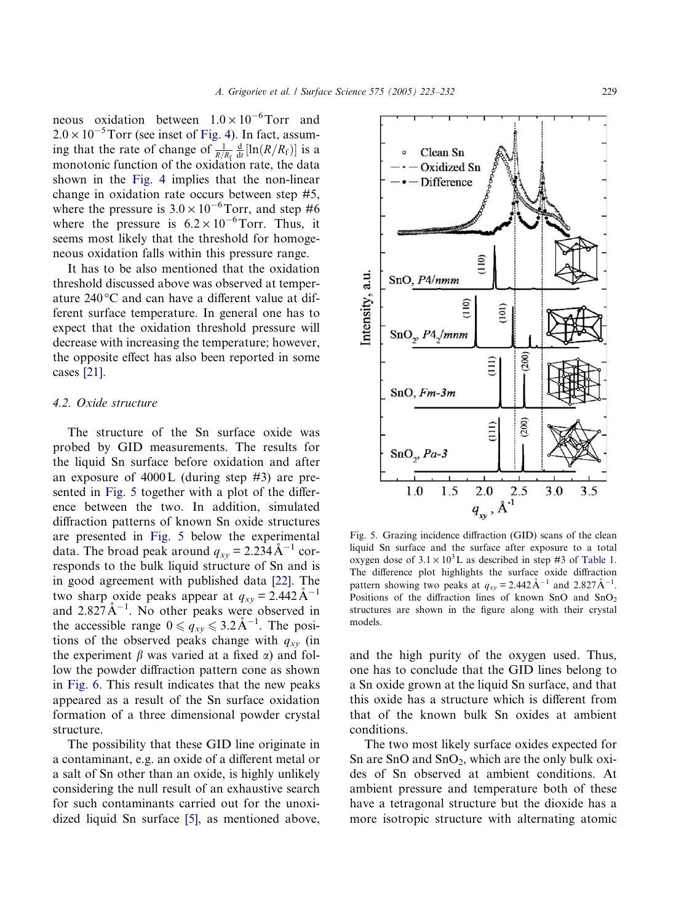<span id="page-6-0"></span>neous oxidation between  $1.0 \times 10^{-6}$ Torr and  $2.0 \times 10^{-5}$  Torr (see inset of Fig. 4). In fact, assuming that the rate of change of  $\frac{1}{R/R_f} \frac{d}{dt} [\ln(R/R_f)]$  is a monotonic function of the oxidation rate, the data shown in the Fig. 4 implies that the non-linear change in oxidation rate occurs between step #5, where the pressure is  $3.0 \times 10^{-6}$  Torr, and step #6 where the pressure is  $6.2 \times 10^{-6}$  Torr. Thus, it seems most likely that the threshold for homogeneous oxidation falls within this pressure range.

It has to be also mentioned that the oxidation threshold discussed above was observed at temperature  $240^{\circ}$ C and can have a different value at different surface temperature.In general one has to expect that the oxidation threshold pressure will decrease with increasing the temperature; however, the opposite effect has also been reported in some cases [\[21\].](#page-9-0)

## 4.2. Oxide structure

The structure of the Sn surface oxide was probed by GID measurements. The results for the liquid Sn surface before oxidation and after an exposure of 4000L (during step #3) are presented in Fig. 5 together with a plot of the difference between the two.In addition, simulated diffraction patterns of known Sn oxide structures are presented in Fig. 5 below the experimental data. The broad peak around  $q_{xy} = 2.234 \text{ Å}^{-1}$  corresponds to the bulk liquid structure of Sn and is in good agreement with published data [\[22\]](#page-9-0). The two sharp oxide peaks appear at  $q_{xy} = 2.442 \text{ Å}^{-1}$ and  $2.827 \text{\AA}^{-1}$ . No other peaks were observed in the accessible range  $0 \leqslant q_{xy} \leqslant 3.2 \text{ Å}^{-1}$ . The positions of the observed peaks change with  $q_{xy}$  (in the experiment  $\beta$  was varied at a fixed  $\alpha$ ) and follow the powder diffraction pattern cone as shown in [Fig.6.](#page-7-0)This result indicates that the new peaks appeared as a result of the Sn surface oxidation formation of a three dimensional powder crystal structure.

The possibility that these GID line originate in a contaminant, e.g. an oxide of a different metal or a salt of Sn other than an oxide, is highly unlikely considering the null result of an exhaustive search for such contaminants carried out for the unoxidized liquid Sn surface [\[5\]](#page-8-0), as mentioned above,



Fig.5. Grazing incidence diffraction (GID) scans of the clean liquid Sn surface and the surface after exposure to a total oxygen dose of  $3.1 \times 10^3$  L as described in step #3 of [Table 1.](#page-3-0) The difference plot highlights the surface oxide diffraction pattern showing two peaks at  $q_{xy} = 2.442 \text{ Å}^{-1}$  and  $2.827 \text{ Å}^{-1}$ . Positions of the diffraction lines of known SnO and  $SnO<sub>2</sub>$ structures are shown in the figure along with their crystal models.

and the high purity of the oxygen used.Thus, one has to conclude that the GID lines belong to a Sn oxide grown at the liquid Sn surface, and that this oxide has a structure which is different from that of the known bulk Sn oxides at ambient conditions.

The two most likely surface oxides expected for Sn are SnO and  $SnO<sub>2</sub>$ , which are the only bulk oxides of Sn observed at ambient conditions.At ambient pressure and temperature both of these have a tetragonal structure but the dioxide has a more isotropic structure with alternating atomic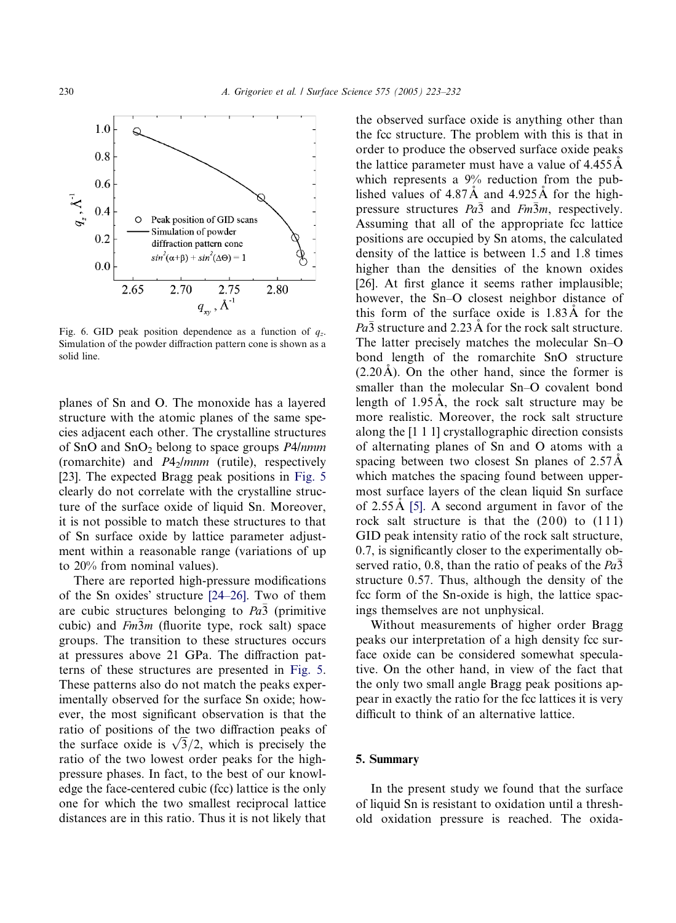<span id="page-7-0"></span>

Fig. 6. GID peak position dependence as a function of  $q_z$ . Simulation of the powder diffraction pattern cone is shown as a solid line.

planes of Sn and O.The monoxide has a layered structure with the atomic planes of the same species adjacent each other.The crystalline structures of SnO and  $SnO<sub>2</sub>$  belong to space groups P4/nmm (romarchite) and  $P4<sub>2</sub>/mm$  (rutile), respectively [\[23\].](#page-9-0) The expected Bragg peak positions in Fig. 5 clearly do not correlate with the crystalline structure of the surface oxide of liquid Sn. Moreover, it is not possible to match these structures to that of Sn surface oxide by lattice parameter adjustment within a reasonable range (variations of up to 20% from nominal values).

There are reported high-pressure modifications of the Sn oxides' structure  $[24-26]$ . Two of them are cubic structures belonging to  $Pa\bar{3}$  (primitive cubic) and  $Fm\overline{3}m$  (fluorite type, rock salt) space groups.The transition to these structures occurs at pressures above 21 GPa.The diffraction patterns of these structures are presented in Fig. 5. These patterns also do not match the peaks experimentally observed for the surface Sn oxide; however, the most significant observation is that the ratio of positions of the two diffraction peaks of ratio of positions of the two diffraction peaks of<br>the surface oxide is  $\sqrt{3}/2$ , which is precisely the ratio of the two lowest order peaks for the highpressure phases.In fact, to the best of our knowledge the face-centered cubic (fcc) lattice is the only one for which the two smallest reciprocal lattice distances are in this ratio.Thus it is not likely that the observed surface oxide is anything other than the fcc structure.The problem with this is that in order to produce the observed surface oxide peaks the lattice parameter must have a value of  $4.455 \text{\AA}$ which represents a 9% reduction from the published values of  $4.87\text{\AA}$  and  $4.925\text{\AA}$  for the highpressure structures  $Pa\bar{3}$  and  $Fm\bar{3}m$ , respectively. Assuming that all of the appropriate fcc lattice positions are occupied by Sn atoms, the calculated density of the lattice is between 1.5 and 1.8 times higher than the densities of the known oxides [\[26\].](#page-9-0) At first glance it seems rather implausible; however, the Sn–O closest neighbor distance of this form of the surface oxide is  $1.83\text{\AA}$  for the  $Pa\bar{3}$  structure and 2.23 Å for the rock salt structure. The latter precisely matches the molecular Sn–O bond length of the romarchite SnO structure  $(2.20\text{ Å})$ . On the other hand, since the former is smaller than the molecular Sn–O covalent bond length of  $1.95\text{\AA}$ , the rock salt structure may be more realistic. Moreover, the rock salt structure along the [1 1 1] crystallographic direction consists of alternating planes of Sn and O atoms with a spacing between two closest Sn planes of 2.57 Å which matches the spacing found between uppermost surface layers of the clean liquid Sn surface of  $2.55\text{\AA}$  [\[5\]](#page-8-0). A second argument in favor of the rock salt structure is that the  $(200)$  to  $(111)$ GID peak intensity ratio of the rock salt structure, 0.7, is significantly closer to the experimentally observed ratio, 0.8, than the ratio of peaks of the  $Pa\bar{3}$ structure 0.57. Thus, although the density of the fcc form of the Sn-oxide is high, the lattice spacings themselves are not unphysical.

Without measurements of higher order Bragg peaks our interpretation of a high density fcc surface oxide can be considered somewhat speculative.On the other hand, in view of the fact that the only two small angle Bragg peak positions appear in exactly the ratio for the fcc lattices it is very difficult to think of an alternative lattice.

## 5. Summary

In the present study we found that the surface of liquid Sn is resistant to oxidation until a threshold oxidation pressure is reached.The oxida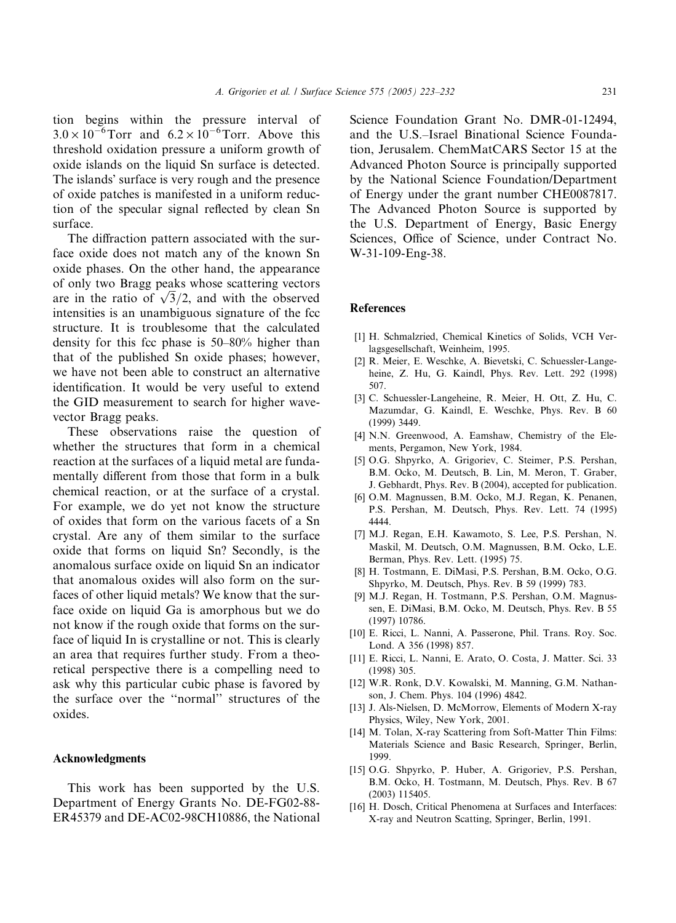<span id="page-8-0"></span>tion begins within the pressure interval of  $3.0 \times 10^{-6}$  Torr and  $6.2 \times 10^{-6}$  Torr. Above this threshold oxidation pressure a uniform growth of oxide islands on the liquid Sn surface is detected. The islands' surface is very rough and the presence of oxide patches is manifested in a uniform reduction of the specular signal reflected by clean Sn surface.

The diffraction pattern associated with the surface oxide does not match any of the known Sn oxide phases.On the other hand, the appearance of only two Bragg peaks whose scattering vectors or only two **bragg** peaks whose scattering vectors are in the ratio of  $\sqrt{3}/2$ , and with the observed intensities is an unambiguous signature of the fcc structure.It is troublesome that the calculated density for this fcc phase is 50–80% higher than that of the published Sn oxide phases; however, we have not been able to construct an alternative identification.It would be very useful to extend the GID measurement to search for higher wavevector Bragg peaks.

These observations raise the question of whether the structures that form in a chemical reaction at the surfaces of a liquid metal are fundamentally different from those that form in a bulk chemical reaction, or at the surface of a crystal. For example, we do yet not know the structure of oxides that form on the various facets of a Sn crystal.Are any of them similar to the surface oxide that forms on liquid Sn? Secondly, is the anomalous surface oxide on liquid Sn an indicator that anomalous oxides will also form on the surfaces of other liquid metals? We know that the surface oxide on liquid Ga is amorphous but we do not know if the rough oxide that forms on the surface of liquid In is crystalline or not.This is clearly an area that requires further study. From a theoretical perspective there is a compelling need to ask why this particular cubic phase is favored by the surface over the ''normal'' structures of the oxides.

#### Acknowledgments

This work has been supported by the U.S. Department of Energy Grants No. DE-FG02-88-ER45379 and DE-AC02-98CH10886, the National Science Foundation Grant No. DMR-01-12494, and the U.S.–Israel Binational Science Foundation, Jerusalem.ChemMatCARS Sector 15 at the Advanced Photon Source is principally supported by the National Science Foundation/Department of Energy under the grant number CHE0087817. The Advanced Photon Source is supported by the U.S. Department of Energy, Basic Energy Sciences, Office of Science, under Contract No. W-31-109-Eng-38.

## References

- [1] H. Schmalzried, Chemical Kinetics of Solids, VCH Verlagsgesellschaft, Weinheim, 1995.
- [2] R. Meier, E. Weschke, A. Bievetski, C. Schuessler-Langeheine, Z. Hu, G. Kaindl, Phys. Rev. Lett. 292 (1998) 507.
- [3] C. Schuessler-Langeheine, R. Meier, H. Ott, Z. Hu, C. Mazumdar, G. Kaindl, E. Weschke, Phys. Rev. B 60 (1999) 3449.
- [4] N.N. Greenwood, A. Eamshaw, Chemistry of the Elements, Pergamon, New York, 1984.
- [5] O.G. Shpyrko, A. Grigoriev, C. Steimer, P.S. Pershan, B.M. Ocko, M. Deutsch, B. Lin, M. Meron, T. Graber, J. Gebhardt, Phys. Rev. B (2004), accepted for publication.
- [6] O.M. Magnussen, B.M. Ocko, M.J. Regan, K. Penanen, P.S. Pershan, M. Deutsch, Phys. Rev. Lett. 74 (1995) 4444.
- [7] M.J. Regan, E.H. Kawamoto, S. Lee, P.S. Pershan, N. Maskil, M. Deutsch, O.M. Magnussen, B.M. Ocko, L.E. Berman, Phys. Rev. Lett. (1995) 75.
- [8] H. Tostmann, E. DiMasi, P.S. Pershan, B.M. Ocko, O.G. Shpyrko, M. Deutsch, Phys. Rev. B 59 (1999) 783.
- [9] M.J. Regan, H. Tostmann, P.S. Pershan, O.M. Magnussen, E. DiMasi, B.M. Ocko, M. Deutsch, Phys. Rev. B 55 (1997) 10786.
- [10] E. Ricci, L. Nanni, A. Passerone, Phil. Trans. Roy. Soc. Lond.A 356 (1998) 857.
- [11] E. Ricci, L. Nanni, E. Arato, O. Costa, J. Matter. Sci. 33 (1998) 305.
- [12] W.R. Ronk, D.V. Kowalski, M. Manning, G.M. Nathanson, J. Chem. Phys. 104 (1996) 4842.
- [13] J. Als-Nielsen, D. McMorrow, Elements of Modern X-ray Physics, Wiley, New York, 2001.
- [14] M. Tolan, X-ray Scattering from Soft-Matter Thin Films: Materials Science and Basic Research, Springer, Berlin, 1999.
- [15] O.G. Shpyrko, P. Huber, A. Grigoriev, P.S. Pershan, B.M. Ocko, H. Tostmann, M. Deutsch, Phys. Rev. B 67 (2003) 115405.
- [16] H. Dosch, Critical Phenomena at Surfaces and Interfaces: X-ray and Neutron Scatting, Springer, Berlin, 1991.